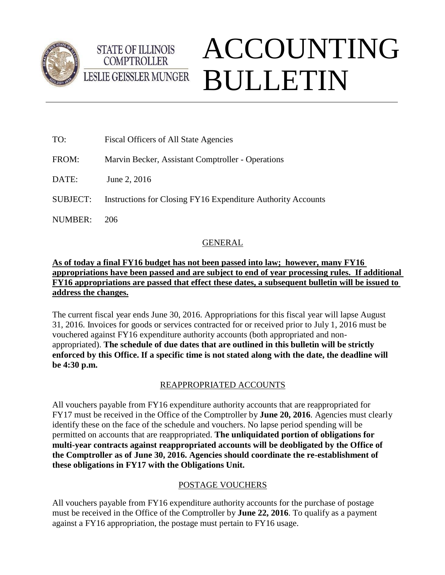



# ACCOUNTING BULLETIN

| TO:             | Fiscal Officers of All State Agencies                        |
|-----------------|--------------------------------------------------------------|
| FROM:           | Marvin Becker, Assistant Comptroller - Operations            |
| DATE:           | June 2, 2016                                                 |
| <b>SUBJECT:</b> | Instructions for Closing FY16 Expenditure Authority Accounts |
| <b>NUMBER:</b>  | 206                                                          |
|                 |                                                              |

# GENERAL

## **As of today a final FY16 budget has not been passed into law; however, many FY16 appropriations have been passed and are subject to end of year processing rules. If additional FY16 appropriations are passed that effect these dates, a subsequent bulletin will be issued to address the changes.**

The current fiscal year ends June 30, 2016. Appropriations for this fiscal year will lapse August 31, 2016. Invoices for goods or services contracted for or received prior to July 1, 2016 must be vouchered against FY16 expenditure authority accounts (both appropriated and nonappropriated). **The schedule of due dates that are outlined in this bulletin will be strictly enforced by this Office. If a specific time is not stated along with the date, the deadline will be 4:30 p.m.**

# REAPPROPRIATED ACCOUNTS

All vouchers payable from FY16 expenditure authority accounts that are reappropriated for FY17 must be received in the Office of the Comptroller by **June 20, 2016**. Agencies must clearly identify these on the face of the schedule and vouchers. No lapse period spending will be permitted on accounts that are reappropriated. **The unliquidated portion of obligations for multi-year contracts against reappropriated accounts will be deobligated by the Office of the Comptroller as of June 30, 2016. Agencies should coordinate the re-establishment of these obligations in FY17 with the Obligations Unit.**

# POSTAGE VOUCHERS

All vouchers payable from FY16 expenditure authority accounts for the purchase of postage must be received in the Office of the Comptroller by **June 22, 2016**. To qualify as a payment against a FY16 appropriation, the postage must pertain to FY16 usage.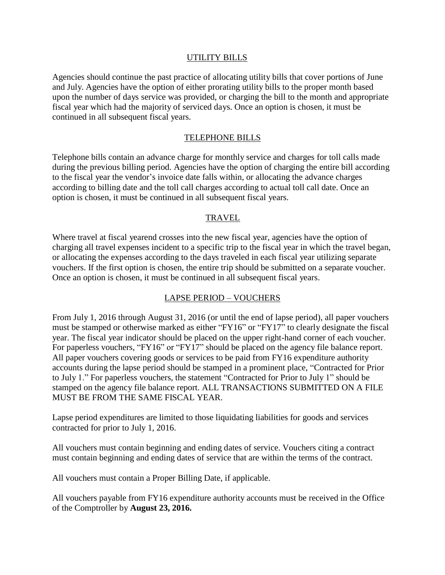#### UTILITY BILLS

Agencies should continue the past practice of allocating utility bills that cover portions of June and July. Agencies have the option of either prorating utility bills to the proper month based upon the number of days service was provided, or charging the bill to the month and appropriate fiscal year which had the majority of serviced days. Once an option is chosen, it must be continued in all subsequent fiscal years.

#### TELEPHONE BILLS

Telephone bills contain an advance charge for monthly service and charges for toll calls made during the previous billing period. Agencies have the option of charging the entire bill according to the fiscal year the vendor's invoice date falls within, or allocating the advance charges according to billing date and the toll call charges according to actual toll call date. Once an option is chosen, it must be continued in all subsequent fiscal years.

#### TRAVEL

Where travel at fiscal yearend crosses into the new fiscal year, agencies have the option of charging all travel expenses incident to a specific trip to the fiscal year in which the travel began, or allocating the expenses according to the days traveled in each fiscal year utilizing separate vouchers. If the first option is chosen, the entire trip should be submitted on a separate voucher. Once an option is chosen, it must be continued in all subsequent fiscal years.

#### LAPSE PERIOD – VOUCHERS

From July 1, 2016 through August 31, 2016 (or until the end of lapse period), all paper vouchers must be stamped or otherwise marked as either "FY16" or "FY17" to clearly designate the fiscal year. The fiscal year indicator should be placed on the upper right-hand corner of each voucher. For paperless vouchers, "FY16" or "FY17" should be placed on the agency file balance report. All paper vouchers covering goods or services to be paid from FY16 expenditure authority accounts during the lapse period should be stamped in a prominent place, "Contracted for Prior to July 1." For paperless vouchers, the statement "Contracted for Prior to July 1" should be stamped on the agency file balance report. ALL TRANSACTIONS SUBMITTED ON A FILE MUST BE FROM THE SAME FISCAL YEAR.

Lapse period expenditures are limited to those liquidating liabilities for goods and services contracted for prior to July 1, 2016.

All vouchers must contain beginning and ending dates of service. Vouchers citing a contract must contain beginning and ending dates of service that are within the terms of the contract.

All vouchers must contain a Proper Billing Date, if applicable.

All vouchers payable from FY16 expenditure authority accounts must be received in the Office of the Comptroller by **August 23, 2016.**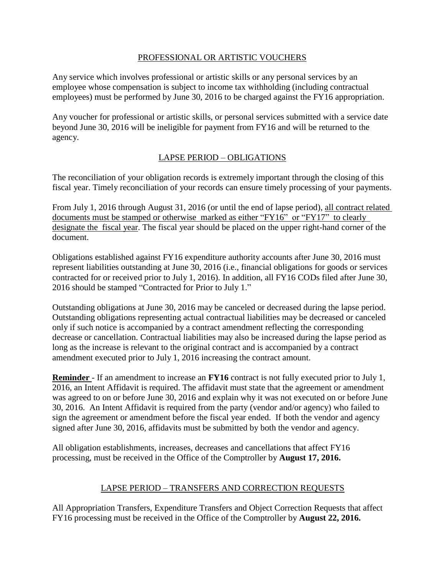#### PROFESSIONAL OR ARTISTIC VOUCHERS

Any service which involves professional or artistic skills or any personal services by an employee whose compensation is subject to income tax withholding (including contractual employees) must be performed by June 30, 2016 to be charged against the FY16 appropriation.

Any voucher for professional or artistic skills, or personal services submitted with a service date beyond June 30, 2016 will be ineligible for payment from FY16 and will be returned to the agency.

## LAPSE PERIOD – OBLIGATIONS

The reconciliation of your obligation records is extremely important through the closing of this fiscal year. Timely reconciliation of your records can ensure timely processing of your payments.

From July 1, 2016 through August 31, 2016 (or until the end of lapse period), all contract related documents must be stamped or otherwise marked as either "FY16" or "FY17" to clearly designate the fiscal year. The fiscal year should be placed on the upper right-hand corner of the document.

Obligations established against FY16 expenditure authority accounts after June 30, 2016 must represent liabilities outstanding at June 30, 2016 (i.e., financial obligations for goods or services contracted for or received prior to July 1, 2016). In addition, all FY16 CODs filed after June 30, 2016 should be stamped "Contracted for Prior to July 1."

Outstanding obligations at June 30, 2016 may be canceled or decreased during the lapse period. Outstanding obligations representing actual contractual liabilities may be decreased or canceled only if such notice is accompanied by a contract amendment reflecting the corresponding decrease or cancellation. Contractual liabilities may also be increased during the lapse period as long as the increase is relevant to the original contract and is accompanied by a contract amendment executed prior to July 1, 2016 increasing the contract amount.

**Reminder** - If an amendment to increase an **FY16** contract is not fully executed prior to July 1, 2016, an Intent Affidavit is required. The affidavit must state that the agreement or amendment was agreed to on or before June 30, 2016 and explain why it was not executed on or before June 30, 2016. An Intent Affidavit is required from the party (vendor and/or agency) who failed to sign the agreement or amendment before the fiscal year ended. If both the vendor and agency signed after June 30, 2016, affidavits must be submitted by both the vendor and agency.

All obligation establishments, increases, decreases and cancellations that affect FY16 processing, must be received in the Office of the Comptroller by **August 17, 2016.**

## LAPSE PERIOD – TRANSFERS AND CORRECTION REQUESTS

All Appropriation Transfers, Expenditure Transfers and Object Correction Requests that affect FY16 processing must be received in the Office of the Comptroller by **August 22, 2016.**